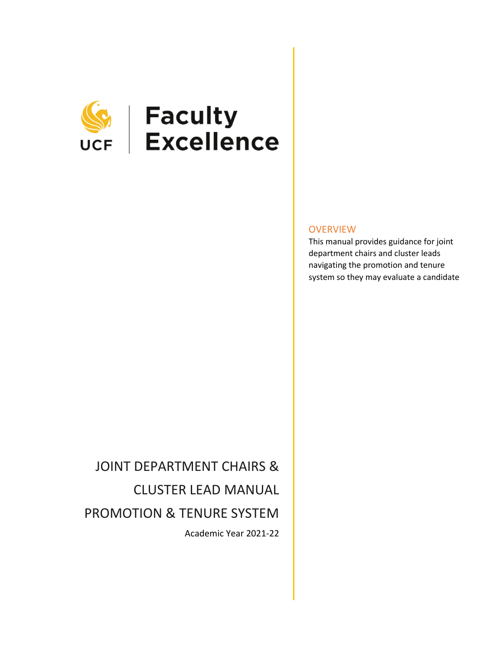

# **SEEP | Faculty**<br>UCF | Excellence

### **OVERVIEW**

This manual provides guidance for joint department chairs and cluster leads navigating the promotion and tenure system so they may evaluate a candidate

## JOINT DEPARTMENT CHAIRS & CLUSTER LEAD MANUAL PROMOTION & TENURE SYSTEM Academic Year 2021-22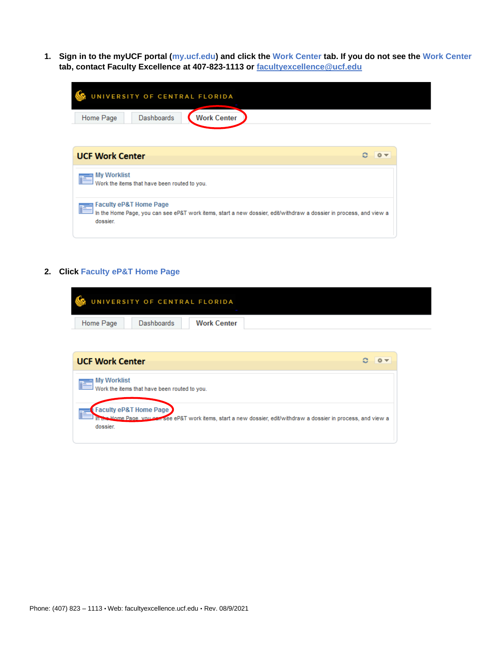**1. Sign in to the myUCF portal (my.ucf.edu) and click the Work Center tab. If you do not see the Work Center tab, contact Faculty Excellence at 407-823-1113 or [facultyexcellence@ucf.edu](mailto:facultyexcellence@ucf.edu)**

| UNIVERSITY OF CENTRAL FLORIDA<br><b>Dashboards</b><br><b>Work Center</b><br>Home Page                                                                               |    |
|---------------------------------------------------------------------------------------------------------------------------------------------------------------------|----|
| <b>UCF Work Center</b>                                                                                                                                              | 森木 |
| <b>My Worklist</b><br>Work the items that have been routed to you.                                                                                                  |    |
| <b>Faculty eP&amp;T Home Page</b><br>In the Home Page, you can see eP&T work items, start a new dossier, edit/withdraw a dossier in process, and view a<br>dossier. |    |

#### **2. Click Faculty eP&T Home Page**

h.

dossier.

Home Page, you e



see eP&T work items, start a new dossier, edit/withdraw a dossier in process, and view a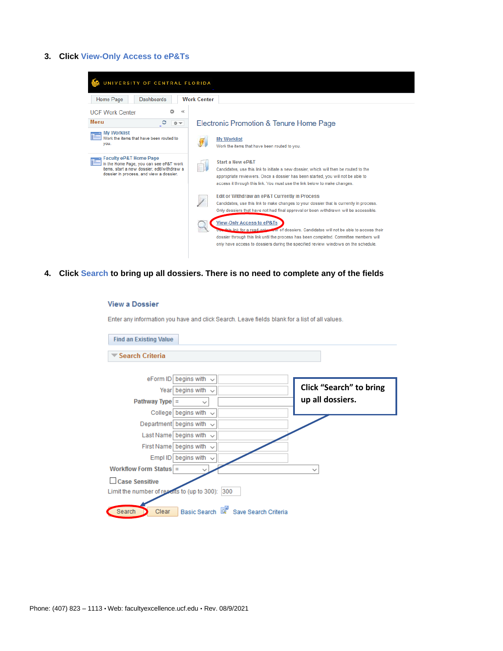#### **3. Click View-Only Access to eP&Ts**

**View a Dossier** 

| UNIVERSITY OF CENTRAL FLORIDA                                                                                                                                          |                                                                                                                                                                                                                                                                                                                |
|------------------------------------------------------------------------------------------------------------------------------------------------------------------------|----------------------------------------------------------------------------------------------------------------------------------------------------------------------------------------------------------------------------------------------------------------------------------------------------------------|
| Home Page<br><b>Dashboards</b>                                                                                                                                         | <b>Work Center</b>                                                                                                                                                                                                                                                                                             |
| ≪<br><b>UCF Work Center</b><br>o                                                                                                                                       |                                                                                                                                                                                                                                                                                                                |
| Menu<br>င<br>春天                                                                                                                                                        | Electronic Promotion & Tenure Home Page                                                                                                                                                                                                                                                                        |
| <b>My Worklist</b><br>Work the items that have been routed to<br>you.                                                                                                  | <b>My Worklist</b><br>Work the items that have been routed to you.                                                                                                                                                                                                                                             |
| <b>Faculty eP&amp;T Home Page</b><br>In the Home Page, you can see eP&T work<br>items, start a new dossier, edit/withdraw a<br>dossier in process, and view a dossier. | Start a New eP&T<br>Candidates, use this link to initiate a new dossier, which will then be routed to the<br>appropriate reviewers. Once a dossier has been started, you will not be able to<br>access it through this link. You must use the link below to make changes.                                      |
|                                                                                                                                                                        | Edit or Withdraw an eP&T Currently in Process<br>Candidates, use this link to make changes to your dossier that is currently in process.<br>Only dossiers that have not had final approval or been withdrawn will be accessible.                                                                               |
|                                                                                                                                                                        | <b>View-Only Access to eP&amp;Ts</b><br>this link for a read-only sign of dossiers. Candidates will not be able to access their<br>dossier through this link until the process has been completed. Committee members will<br>only have access to dossiers during the specified review windows on the schedule. |

**4. Click Search to bring up all dossiers. There is no need to complete any of the fields**

#### Enter any information you have and click Search. Leave fields blank for a list of all values. **Find an Existing Value** Search Criteria eForm ID begins with  $\sqrt{}$ **Click "Search" to bring**  Year begins with  $\sqrt{}$ **up all dossiers.**Pathway Type  $=$  $\checkmark$ College begins with  $\sqrt{}$ Department begins with  $\sqrt{}$ Last Name begins with  $\sqrt{}$ First Name begins with  $\sim$ Empl ID begins with  $\sqrt{}$ Workflow Form Status  $\sqrt{ }$  $\checkmark$ □ Case Sensitive Limit the number of resealts to (up to 300): 300 Clear Basic Search & Save Search Criteria Search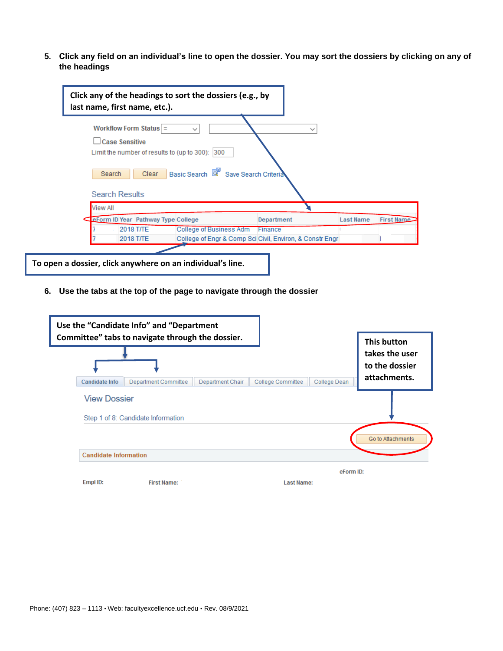**5. Click any field on an individual's line to open the dossier. You may sort the dossiers by clicking on any of the headings**

| Workflow Form Status $=$                    | $\check{ }$             | $\checkmark$ |                  |
|---------------------------------------------|-------------------------|--------------|------------------|
| Case Sensitive                              |                         |              |                  |
| Limit the number of results to (up to 300): | 300                     |              |                  |
| <b>Search Results</b>                       |                         |              |                  |
| <b>View All</b>                             |                         |              |                  |
| <b>EForm ID Year Pathway Type College</b>   |                         | Department   | <b>Last Name</b> |
| 2018 T/TE                                   | College of Business Adm | Finance      |                  |

**6. Use the tabs at the top of the page to navigate through the dossier**

|                              | Use the "Candidate Info" and "Department<br>Committee" tabs to navigate through the dossier. |                  |                   |              | <b>This button</b>               |
|------------------------------|----------------------------------------------------------------------------------------------|------------------|-------------------|--------------|----------------------------------|
|                              |                                                                                              |                  |                   |              | takes the user<br>to the dossier |
| <b>Candidate Info</b>        | Department Committee                                                                         | Department Chair | College Committee | College Dean | attachments.                     |
| <b>View Dossier</b>          | Step 1 of 8: Candidate Information                                                           |                  |                   |              |                                  |
|                              |                                                                                              |                  |                   |              | Go to Attachments                |
| <b>Candidate Information</b> |                                                                                              |                  |                   |              |                                  |
|                              |                                                                                              |                  |                   | eForm ID:    |                                  |
| Empl ID:                     | <b>First Name:</b>                                                                           |                  | <b>Last Name:</b> |              |                                  |